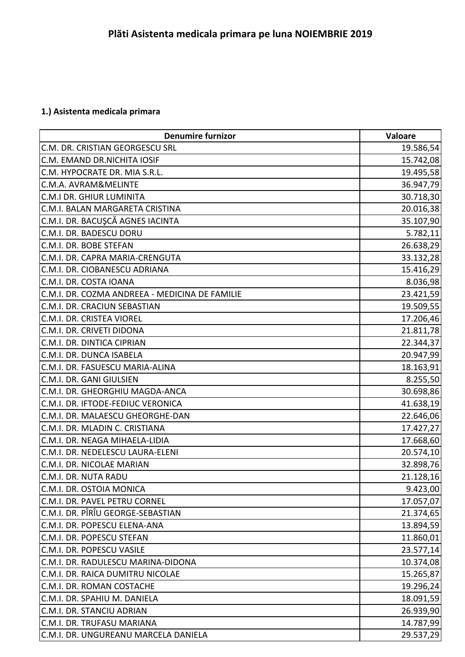## **1.) Asistenta medicala primara**

| <b>Denumire furnizor</b>                       | Valoare   |
|------------------------------------------------|-----------|
| C.M. DR. CRISTIAN GEORGESCU SRL                | 19.586,54 |
| C.M. EMAND DR.NICHITA IOSIF                    | 15.742,08 |
| C.M. HYPOCRATE DR. MIA S.R.L.                  | 19.495,58 |
| C.M.A. AVRAM&MELINTE                           | 36.947,79 |
| C.M.I DR. GHIUR LUMINITA                       | 30.718,30 |
| C.M.I. BALAN MARGARETA CRISTINA                | 20.016,38 |
| C.M.I. DR. BACUŞCĂ AGNES IACINTA               | 35.107,90 |
| C.M.I. DR. BADESCU DORU                        | 5.782,11  |
| C.M.I. DR. BOBE STEFAN                         | 26.638,29 |
| C.M.I. DR. CAPRA MARIA-CRENGUTA                | 33.132,28 |
| C.M.I. DR. CIOBANESCU ADRIANA                  | 15.416,29 |
| C.M.I. DR. COSTA IOANA                         | 8.036,98  |
| C.M.I. DR. COZMA ANDREEA - MEDICINA DE FAMILIE | 23.421,59 |
| C.M.I. DR. CRACIUN SEBASTIAN                   | 19.509,55 |
| C.M.I. DR. CRISTEA VIOREL                      | 17.206,46 |
| C.M.I. DR. CRIVETI DIDONA                      | 21.811,78 |
| C.M.I. DR. DINTICA CIPRIAN                     | 22.344,37 |
| C.M.I. DR. DUNCA ISABELA                       | 20.947,99 |
| C.M.I. DR. FASUESCU MARIA-ALINA                | 18.163,91 |
| C.M.I. DR. GANI GIULSIEN                       | 8.255,50  |
| C.M.I. DR. GHEORGHIU MAGDA-ANCA                | 30.698,86 |
| C.M.I. DR. IFTODE-FEDIUC VERONICA              | 41.638,19 |
| C.M.I. DR. MALAESCU GHEORGHE-DAN               | 22.646,06 |
| C.M.I. DR. MLADIN C. CRISTIANA                 | 17.427,27 |
| C.M.I. DR. NEAGA MIHAELA-LIDIA                 | 17.668,60 |
| C.M.I. DR. NEDELESCU LAURA-ELENI               | 20.574,10 |
| C.M.I. DR. NICOLAE MARIAN                      | 32.898,76 |
| C.M.I. DR. NUTA RADU                           | 21.128,16 |
| C.M.I. DR. OSTOIA MONICA                       | 9.423,00  |
| C.M.I. DR. PAVEL PETRU CORNEL                  | 17.057,07 |
| C.M.I. DR. PÎRÎU GEORGE-SEBASTIAN              | 21.374,65 |
| C.M.I. DR. POPESCU ELENA-ANA                   | 13.894,59 |
| C.M.I. DR. POPESCU STEFAN                      | 11.860,01 |
| C.M.I. DR. POPESCU VASILE                      | 23.577,14 |
| C.M.I. DR. RADULESCU MARINA-DIDONA             | 10.374,08 |
| C.M.I. DR. RAICA DUMITRU NICOLAE               | 15.265,87 |
| C.M.I. DR. ROMAN COSTACHE                      | 19.296,24 |
| C.M.I. DR. SPAHIU M. DANIELA                   | 18.091,59 |
| C.M.I. DR. STANCIU ADRIAN                      | 26.939,90 |
| C.M.I. DR. TRUFASU MARIANA                     | 14.787,99 |
| C.M.I. DR. UNGUREANU MARCELA DANIELA           | 29.537,29 |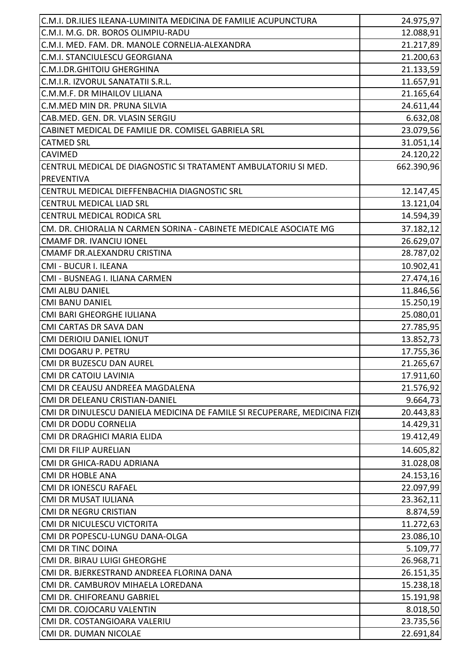| C.M.I. DR.ILIES ILEANA-LUMINITA MEDICINA DE FAMILIE ACUPUNCTURA           | 24.975,97              |
|---------------------------------------------------------------------------|------------------------|
| C.M.I. M.G. DR. BOROS OLIMPIU-RADU                                        | 12.088,91              |
| C.M.I. MED. FAM. DR. MANOLE CORNELIA-ALEXANDRA                            | 21.217,89              |
| C.M.I. STANCIULESCU GEORGIANA                                             | 21.200,63              |
| C.M.I.DR.GHITOIU GHERGHINA                                                | 21.133,59              |
| C.M.I.R. IZVORUL SANATATII S.R.L.                                         | 11.657,91              |
| C.M.M.F. DR MIHAILOV LILIANA                                              | 21.165,64              |
| C.M.MED MIN DR. PRUNA SILVIA                                              | 24.611,44              |
| CAB.MED. GEN. DR. VLASIN SERGIU                                           | 6.632,08               |
| CABINET MEDICAL DE FAMILIE DR. COMISEL GABRIELA SRL                       | 23.079,56              |
| <b>CATMED SRL</b>                                                         | 31.051,14              |
| <b>CAVIMED</b>                                                            | 24.120,22              |
| CENTRUL MEDICAL DE DIAGNOSTIC SI TRATAMENT AMBULATORIU SI MED.            | 662.390,96             |
| PREVENTIVA                                                                |                        |
| CENTRUL MEDICAL DIEFFENBACHIA DIAGNOSTIC SRL                              | 12.147,45              |
| <b>CENTRUL MEDICAL LIAD SRL</b>                                           | 13.121,04              |
| <b>CENTRUL MEDICAL RODICA SRL</b>                                         | 14.594,39              |
| CM. DR. CHIORALIA N CARMEN SORINA - CABINETE MEDICALE ASOCIATE MG         | 37.182,12              |
| <b>CMAMF DR. IVANCIU IONEL</b>                                            | 26.629,07              |
| CMAMF DR.ALEXANDRU CRISTINA                                               | 28.787,02              |
| CMI - BUCUR I. ILEANA                                                     | 10.902,41              |
| CMI - BUSNEAG I. ILIANA CARMEN                                            | 27.474,16              |
| <b>CMI ALBU DANIEL</b>                                                    | 11.846,56              |
| <b>CMI BANU DANIEL</b>                                                    | 15.250,19              |
| CMI BARI GHEORGHE IULIANA                                                 | 25.080,01              |
| CMI CARTAS DR SAVA DAN                                                    |                        |
| CMI DERIOIU DANIEL IONUT                                                  | 27.785,95<br>13.852,73 |
| CMI DOGARU P. PETRU                                                       | 17.755,36              |
| CMI DR BUZESCU DAN AUREL                                                  | 21.265,67              |
|                                                                           |                        |
| <b>CMI DR CATOIU LAVINIA</b>                                              | 17.911,60              |
| CMI DR CEAUSU ANDREEA MAGDALENA                                           | 21.576,92              |
| CMI DR DELEANU CRISTIAN-DANIEL                                            | 9.664,73               |
| CMI DR DINULESCU DANIELA MEDICINA DE FAMILE SI RECUPERARE, MEDICINA FIZIO | 20.443,83              |
| <b>CMI DR DODU CORNELIA</b>                                               | 14.429,31              |
| CMI DR DRAGHICI MARIA ELIDA                                               | 19.412,49              |
| <b>CMI DR FILIP AURELIAN</b>                                              | 14.605,82              |
| CMI DR GHICA-RADU ADRIANA                                                 | 31.028,08              |
| <b>CMI DR HOBLE ANA</b>                                                   | 24.153,16              |
| <b>CMI DR IONESCU RAFAEL</b>                                              | 22.097,99              |
| CMI DR MUSAT IULIANA                                                      | 23.362,11              |
| <b>CMI DR NEGRU CRISTIAN</b>                                              | 8.874,59               |
| CMI DR NICULESCU VICTORITA                                                | 11.272,63              |
| CMI DR POPESCU-LUNGU DANA-OLGA                                            | 23.086,10              |
| <b>CMI DR TINC DOINA</b>                                                  | 5.109,77               |
| CMI DR. BIRAU LUIGI GHEORGHE                                              | 26.968,71              |
| CMI DR. BJERKESTRAND ANDREEA FLORINA DANA                                 | 26.151,35              |
| CMI DR. CAMBUROV MIHAELA LOREDANA                                         | 15.238,18              |
| CMI DR. CHIFOREANU GABRIEL                                                | 15.191,98              |
| CMI DR. COJOCARU VALENTIN                                                 | 8.018,50               |
| CMI DR. COSTANGIOARA VALERIU                                              | 23.735,56              |
| CMI DR. DUMAN NICOLAE                                                     | 22.691,84              |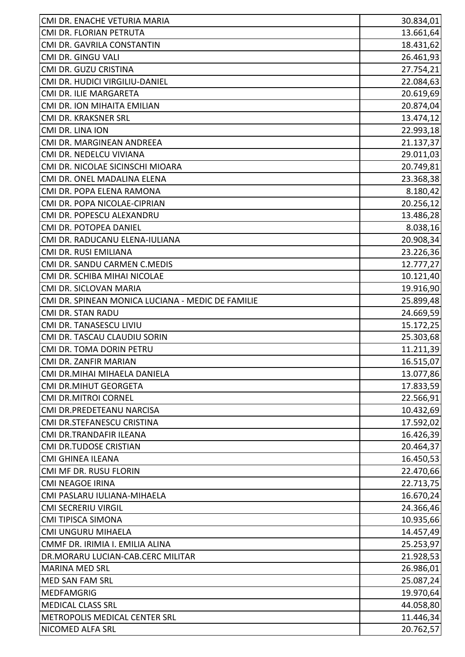| 13.661,64<br>CMI DR. FLORIAN PETRUTA<br>18.431,62<br>CMI DR. GAVRILA CONSTANTIN<br>CMI DR. GINGU VALI<br>26.461,93<br>27.754,21<br>CMI DR. GUZU CRISTINA<br>CMI DR. HUDICI VIRGILIU-DANIEL<br>22.084,63<br>20.619,69<br>CMI DR. ILIE MARGARETA<br>20.874,04<br>CMI DR. ION MIHAITA EMILIAN<br>CMI DR. KRAKSNER SRL<br>13.474,12<br>CMI DR. LINA ION<br>CMI DR. MARGINEAN ANDREEA<br>29.011,03<br>CMI DR. NEDELCU VIVIANA<br>CMI DR. NICOLAE SICINSCHI MIOARA<br>20.749,81<br>CMI DR. ONEL MADALINA ELENA<br>CMI DR. POPA ELENA RAMONA<br>CMI DR. POPA NICOLAE-CIPRIAN<br>CMI DR. POPESCU ALEXANDRU<br>CMI DR. POTOPEA DANIEL<br>CMI DR. RADUCANU ELENA-IULIANA<br>CMI DR. RUSI EMILIANA<br>CMI DR. SANDU CARMEN C.MEDIS<br>10.121,40<br>CMI DR. SCHIBA MIHAI NICOLAE<br>CMI DR. SICLOVAN MARIA<br>CMI DR. SPINEAN MONICA LUCIANA - MEDIC DE FAMILIE<br>CMI DR. STAN RADU<br>CMI DR. TANASESCU LIVIU<br>CMI DR. TASCAU CLAUDIU SORIN<br>CMI DR. TOMA DORIN PETRU<br>CMI DR. ZANFIR MARIAN<br>CMI DR.MIHAI MIHAELA DANIELA<br><b>CMI DR.MIHUT GEORGETA</b><br><b>CMI DR.MITROI CORNEL</b><br>CMI DR.PREDETEANU NARCISA<br>CMI DR.STEFANESCU CRISTINA<br>CMI DR.TRANDAFIR ILEANA<br><b>CMI DR.TUDOSE CRISTIAN</b><br>CMI GHINEA ILEANA<br>CMI MF DR. RUSU FLORIN<br><b>CMI NEAGOE IRINA</b><br>CMI PASLARU IULIANA-MIHAELA<br><b>CMI SECRERIU VIRGIL</b><br><b>CMI TIPISCA SIMONA</b><br>CMI UNGURU MIHAELA<br>CMMF DR. IRIMIA I. EMILIA ALINA<br>DR.MORARU LUCIAN-CAB.CERC MILITAR<br><b>MARINA MED SRL</b><br>26.986,01<br><b>MED SAN FAM SRL</b><br><b>MEDFAMGRIG</b><br><b>MEDICAL CLASS SRL</b><br>METROPOLIS MEDICAL CENTER SRL<br>NICOMED ALFA SRL | CMI DR. ENACHE VETURIA MARIA | 30.834,01 |
|--------------------------------------------------------------------------------------------------------------------------------------------------------------------------------------------------------------------------------------------------------------------------------------------------------------------------------------------------------------------------------------------------------------------------------------------------------------------------------------------------------------------------------------------------------------------------------------------------------------------------------------------------------------------------------------------------------------------------------------------------------------------------------------------------------------------------------------------------------------------------------------------------------------------------------------------------------------------------------------------------------------------------------------------------------------------------------------------------------------------------------------------------------------------------------------------------------------------------------------------------------------------------------------------------------------------------------------------------------------------------------------------------------------------------------------------------------------------------------------------------------------------------------------------------------------------------------------------------------------------------------------------------------|------------------------------|-----------|
|                                                                                                                                                                                                                                                                                                                                                                                                                                                                                                                                                                                                                                                                                                                                                                                                                                                                                                                                                                                                                                                                                                                                                                                                                                                                                                                                                                                                                                                                                                                                                                                                                                                        |                              |           |
|                                                                                                                                                                                                                                                                                                                                                                                                                                                                                                                                                                                                                                                                                                                                                                                                                                                                                                                                                                                                                                                                                                                                                                                                                                                                                                                                                                                                                                                                                                                                                                                                                                                        |                              |           |
|                                                                                                                                                                                                                                                                                                                                                                                                                                                                                                                                                                                                                                                                                                                                                                                                                                                                                                                                                                                                                                                                                                                                                                                                                                                                                                                                                                                                                                                                                                                                                                                                                                                        |                              |           |
|                                                                                                                                                                                                                                                                                                                                                                                                                                                                                                                                                                                                                                                                                                                                                                                                                                                                                                                                                                                                                                                                                                                                                                                                                                                                                                                                                                                                                                                                                                                                                                                                                                                        |                              |           |
|                                                                                                                                                                                                                                                                                                                                                                                                                                                                                                                                                                                                                                                                                                                                                                                                                                                                                                                                                                                                                                                                                                                                                                                                                                                                                                                                                                                                                                                                                                                                                                                                                                                        |                              |           |
|                                                                                                                                                                                                                                                                                                                                                                                                                                                                                                                                                                                                                                                                                                                                                                                                                                                                                                                                                                                                                                                                                                                                                                                                                                                                                                                                                                                                                                                                                                                                                                                                                                                        |                              |           |
|                                                                                                                                                                                                                                                                                                                                                                                                                                                                                                                                                                                                                                                                                                                                                                                                                                                                                                                                                                                                                                                                                                                                                                                                                                                                                                                                                                                                                                                                                                                                                                                                                                                        |                              |           |
| 22.993,18<br>21.137,37<br>23.368,38<br>8.180,42<br>20.256,12<br>13.486,28<br>8.038,16<br>20.908,34<br>23.226,36<br>12.777,27<br>19.916,90<br>25.899,48<br>24.669,59<br>15.172,25<br>25.303,68<br>11.211,39<br>16.515,07<br>13.077,86<br>17.833,59<br>22.566,91<br>10.432,69<br>17.592,02<br>16.426,39<br>20.464,37<br>16.450,53<br>22.470,66<br>22.713,75<br>16.670,24<br>24.366,46<br>10.935,66<br>14.457,49<br>25.253,97<br>21.928,53<br>25.087,24<br>19.970,64<br>44.058,80<br>11.446,34<br>20.762,57                                                                                                                                                                                                                                                                                                                                                                                                                                                                                                                                                                                                                                                                                                                                                                                                                                                                                                                                                                                                                                                                                                                                               |                              |           |
|                                                                                                                                                                                                                                                                                                                                                                                                                                                                                                                                                                                                                                                                                                                                                                                                                                                                                                                                                                                                                                                                                                                                                                                                                                                                                                                                                                                                                                                                                                                                                                                                                                                        |                              |           |
|                                                                                                                                                                                                                                                                                                                                                                                                                                                                                                                                                                                                                                                                                                                                                                                                                                                                                                                                                                                                                                                                                                                                                                                                                                                                                                                                                                                                                                                                                                                                                                                                                                                        |                              |           |
|                                                                                                                                                                                                                                                                                                                                                                                                                                                                                                                                                                                                                                                                                                                                                                                                                                                                                                                                                                                                                                                                                                                                                                                                                                                                                                                                                                                                                                                                                                                                                                                                                                                        |                              |           |
|                                                                                                                                                                                                                                                                                                                                                                                                                                                                                                                                                                                                                                                                                                                                                                                                                                                                                                                                                                                                                                                                                                                                                                                                                                                                                                                                                                                                                                                                                                                                                                                                                                                        |                              |           |
|                                                                                                                                                                                                                                                                                                                                                                                                                                                                                                                                                                                                                                                                                                                                                                                                                                                                                                                                                                                                                                                                                                                                                                                                                                                                                                                                                                                                                                                                                                                                                                                                                                                        |                              |           |
|                                                                                                                                                                                                                                                                                                                                                                                                                                                                                                                                                                                                                                                                                                                                                                                                                                                                                                                                                                                                                                                                                                                                                                                                                                                                                                                                                                                                                                                                                                                                                                                                                                                        |                              |           |
|                                                                                                                                                                                                                                                                                                                                                                                                                                                                                                                                                                                                                                                                                                                                                                                                                                                                                                                                                                                                                                                                                                                                                                                                                                                                                                                                                                                                                                                                                                                                                                                                                                                        |                              |           |
|                                                                                                                                                                                                                                                                                                                                                                                                                                                                                                                                                                                                                                                                                                                                                                                                                                                                                                                                                                                                                                                                                                                                                                                                                                                                                                                                                                                                                                                                                                                                                                                                                                                        |                              |           |
|                                                                                                                                                                                                                                                                                                                                                                                                                                                                                                                                                                                                                                                                                                                                                                                                                                                                                                                                                                                                                                                                                                                                                                                                                                                                                                                                                                                                                                                                                                                                                                                                                                                        |                              |           |
|                                                                                                                                                                                                                                                                                                                                                                                                                                                                                                                                                                                                                                                                                                                                                                                                                                                                                                                                                                                                                                                                                                                                                                                                                                                                                                                                                                                                                                                                                                                                                                                                                                                        |                              |           |
|                                                                                                                                                                                                                                                                                                                                                                                                                                                                                                                                                                                                                                                                                                                                                                                                                                                                                                                                                                                                                                                                                                                                                                                                                                                                                                                                                                                                                                                                                                                                                                                                                                                        |                              |           |
|                                                                                                                                                                                                                                                                                                                                                                                                                                                                                                                                                                                                                                                                                                                                                                                                                                                                                                                                                                                                                                                                                                                                                                                                                                                                                                                                                                                                                                                                                                                                                                                                                                                        |                              |           |
|                                                                                                                                                                                                                                                                                                                                                                                                                                                                                                                                                                                                                                                                                                                                                                                                                                                                                                                                                                                                                                                                                                                                                                                                                                                                                                                                                                                                                                                                                                                                                                                                                                                        |                              |           |
|                                                                                                                                                                                                                                                                                                                                                                                                                                                                                                                                                                                                                                                                                                                                                                                                                                                                                                                                                                                                                                                                                                                                                                                                                                                                                                                                                                                                                                                                                                                                                                                                                                                        |                              |           |
|                                                                                                                                                                                                                                                                                                                                                                                                                                                                                                                                                                                                                                                                                                                                                                                                                                                                                                                                                                                                                                                                                                                                                                                                                                                                                                                                                                                                                                                                                                                                                                                                                                                        |                              |           |
|                                                                                                                                                                                                                                                                                                                                                                                                                                                                                                                                                                                                                                                                                                                                                                                                                                                                                                                                                                                                                                                                                                                                                                                                                                                                                                                                                                                                                                                                                                                                                                                                                                                        |                              |           |
|                                                                                                                                                                                                                                                                                                                                                                                                                                                                                                                                                                                                                                                                                                                                                                                                                                                                                                                                                                                                                                                                                                                                                                                                                                                                                                                                                                                                                                                                                                                                                                                                                                                        |                              |           |
|                                                                                                                                                                                                                                                                                                                                                                                                                                                                                                                                                                                                                                                                                                                                                                                                                                                                                                                                                                                                                                                                                                                                                                                                                                                                                                                                                                                                                                                                                                                                                                                                                                                        |                              |           |
|                                                                                                                                                                                                                                                                                                                                                                                                                                                                                                                                                                                                                                                                                                                                                                                                                                                                                                                                                                                                                                                                                                                                                                                                                                                                                                                                                                                                                                                                                                                                                                                                                                                        |                              |           |
|                                                                                                                                                                                                                                                                                                                                                                                                                                                                                                                                                                                                                                                                                                                                                                                                                                                                                                                                                                                                                                                                                                                                                                                                                                                                                                                                                                                                                                                                                                                                                                                                                                                        |                              |           |
|                                                                                                                                                                                                                                                                                                                                                                                                                                                                                                                                                                                                                                                                                                                                                                                                                                                                                                                                                                                                                                                                                                                                                                                                                                                                                                                                                                                                                                                                                                                                                                                                                                                        |                              |           |
|                                                                                                                                                                                                                                                                                                                                                                                                                                                                                                                                                                                                                                                                                                                                                                                                                                                                                                                                                                                                                                                                                                                                                                                                                                                                                                                                                                                                                                                                                                                                                                                                                                                        |                              |           |
|                                                                                                                                                                                                                                                                                                                                                                                                                                                                                                                                                                                                                                                                                                                                                                                                                                                                                                                                                                                                                                                                                                                                                                                                                                                                                                                                                                                                                                                                                                                                                                                                                                                        |                              |           |
|                                                                                                                                                                                                                                                                                                                                                                                                                                                                                                                                                                                                                                                                                                                                                                                                                                                                                                                                                                                                                                                                                                                                                                                                                                                                                                                                                                                                                                                                                                                                                                                                                                                        |                              |           |
|                                                                                                                                                                                                                                                                                                                                                                                                                                                                                                                                                                                                                                                                                                                                                                                                                                                                                                                                                                                                                                                                                                                                                                                                                                                                                                                                                                                                                                                                                                                                                                                                                                                        |                              |           |
|                                                                                                                                                                                                                                                                                                                                                                                                                                                                                                                                                                                                                                                                                                                                                                                                                                                                                                                                                                                                                                                                                                                                                                                                                                                                                                                                                                                                                                                                                                                                                                                                                                                        |                              |           |
|                                                                                                                                                                                                                                                                                                                                                                                                                                                                                                                                                                                                                                                                                                                                                                                                                                                                                                                                                                                                                                                                                                                                                                                                                                                                                                                                                                                                                                                                                                                                                                                                                                                        |                              |           |
|                                                                                                                                                                                                                                                                                                                                                                                                                                                                                                                                                                                                                                                                                                                                                                                                                                                                                                                                                                                                                                                                                                                                                                                                                                                                                                                                                                                                                                                                                                                                                                                                                                                        |                              |           |
|                                                                                                                                                                                                                                                                                                                                                                                                                                                                                                                                                                                                                                                                                                                                                                                                                                                                                                                                                                                                                                                                                                                                                                                                                                                                                                                                                                                                                                                                                                                                                                                                                                                        |                              |           |
|                                                                                                                                                                                                                                                                                                                                                                                                                                                                                                                                                                                                                                                                                                                                                                                                                                                                                                                                                                                                                                                                                                                                                                                                                                                                                                                                                                                                                                                                                                                                                                                                                                                        |                              |           |
|                                                                                                                                                                                                                                                                                                                                                                                                                                                                                                                                                                                                                                                                                                                                                                                                                                                                                                                                                                                                                                                                                                                                                                                                                                                                                                                                                                                                                                                                                                                                                                                                                                                        |                              |           |
|                                                                                                                                                                                                                                                                                                                                                                                                                                                                                                                                                                                                                                                                                                                                                                                                                                                                                                                                                                                                                                                                                                                                                                                                                                                                                                                                                                                                                                                                                                                                                                                                                                                        |                              |           |
|                                                                                                                                                                                                                                                                                                                                                                                                                                                                                                                                                                                                                                                                                                                                                                                                                                                                                                                                                                                                                                                                                                                                                                                                                                                                                                                                                                                                                                                                                                                                                                                                                                                        |                              |           |
|                                                                                                                                                                                                                                                                                                                                                                                                                                                                                                                                                                                                                                                                                                                                                                                                                                                                                                                                                                                                                                                                                                                                                                                                                                                                                                                                                                                                                                                                                                                                                                                                                                                        |                              |           |
|                                                                                                                                                                                                                                                                                                                                                                                                                                                                                                                                                                                                                                                                                                                                                                                                                                                                                                                                                                                                                                                                                                                                                                                                                                                                                                                                                                                                                                                                                                                                                                                                                                                        |                              |           |
|                                                                                                                                                                                                                                                                                                                                                                                                                                                                                                                                                                                                                                                                                                                                                                                                                                                                                                                                                                                                                                                                                                                                                                                                                                                                                                                                                                                                                                                                                                                                                                                                                                                        |                              |           |
|                                                                                                                                                                                                                                                                                                                                                                                                                                                                                                                                                                                                                                                                                                                                                                                                                                                                                                                                                                                                                                                                                                                                                                                                                                                                                                                                                                                                                                                                                                                                                                                                                                                        |                              |           |
|                                                                                                                                                                                                                                                                                                                                                                                                                                                                                                                                                                                                                                                                                                                                                                                                                                                                                                                                                                                                                                                                                                                                                                                                                                                                                                                                                                                                                                                                                                                                                                                                                                                        |                              |           |
|                                                                                                                                                                                                                                                                                                                                                                                                                                                                                                                                                                                                                                                                                                                                                                                                                                                                                                                                                                                                                                                                                                                                                                                                                                                                                                                                                                                                                                                                                                                                                                                                                                                        |                              |           |
|                                                                                                                                                                                                                                                                                                                                                                                                                                                                                                                                                                                                                                                                                                                                                                                                                                                                                                                                                                                                                                                                                                                                                                                                                                                                                                                                                                                                                                                                                                                                                                                                                                                        |                              |           |
|                                                                                                                                                                                                                                                                                                                                                                                                                                                                                                                                                                                                                                                                                                                                                                                                                                                                                                                                                                                                                                                                                                                                                                                                                                                                                                                                                                                                                                                                                                                                                                                                                                                        |                              |           |
|                                                                                                                                                                                                                                                                                                                                                                                                                                                                                                                                                                                                                                                                                                                                                                                                                                                                                                                                                                                                                                                                                                                                                                                                                                                                                                                                                                                                                                                                                                                                                                                                                                                        |                              |           |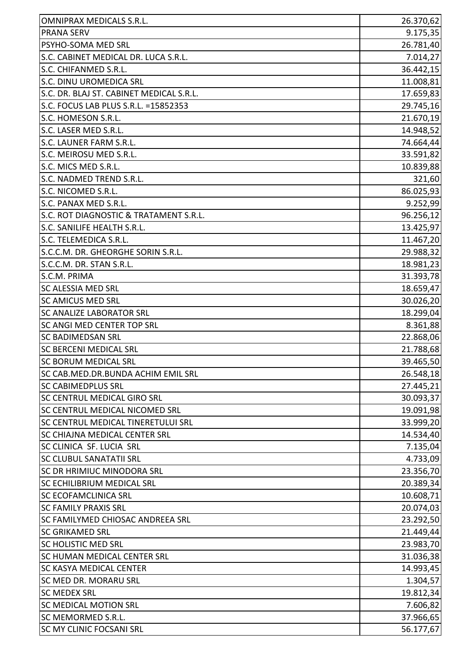| <b>OMNIPRAX MEDICALS S.R.L.</b>          | 26.370,62 |
|------------------------------------------|-----------|
| <b>PRANA SERV</b>                        | 9.175,35  |
| PSYHO-SOMA MED SRL                       | 26.781,40 |
| S.C. CABINET MEDICAL DR. LUCA S.R.L.     | 7.014,27  |
| S.C. CHIFANMED S.R.L.                    | 36.442,15 |
| S.C. DINU UROMEDICA SRL                  | 11.008,81 |
| S.C. DR. BLAJ ST. CABINET MEDICAL S.R.L. | 17.659,83 |
| S.C. FOCUS LAB PLUS S.R.L. = 15852353    | 29.745,16 |
| S.C. HOMESON S.R.L.                      | 21.670,19 |
| S.C. LASER MED S.R.L.                    | 14.948,52 |
| S.C. LAUNER FARM S.R.L.                  | 74.664,44 |
| S.C. MEIROSU MED S.R.L.                  | 33.591,82 |
| S.C. MICS MED S.R.L.                     | 10.839,88 |
| S.C. NADMED TREND S.R.L.                 | 321,60    |
| S.C. NICOMED S.R.L.                      | 86.025,93 |
| S.C. PANAX MED S.R.L.                    | 9.252,99  |
| S.C. ROT DIAGNOSTIC & TRATAMENT S.R.L.   | 96.256,12 |
| S.C. SANILIFE HEALTH S.R.L.              | 13.425,97 |
| S.C. TELEMEDICA S.R.L.                   | 11.467,20 |
| S.C.C.M. DR. GHEORGHE SORIN S.R.L.       | 29.988,32 |
| S.C.C.M. DR. STAN S.R.L.                 | 18.981,23 |
| S.C.M. PRIMA                             | 31.393,78 |
| <b>SC ALESSIA MED SRL</b>                | 18.659,47 |
| <b>SC AMICUS MED SRL</b>                 | 30.026,20 |
| <b>SC ANALIZE LABORATOR SRL</b>          | 18.299,04 |
| SC ANGI MED CENTER TOP SRL               | 8.361,88  |
| <b>SC BADIMEDSAN SRL</b>                 | 22.868,06 |
| <b>SC BERCENI MEDICAL SRL</b>            | 21.788,68 |
| <b>SC BORUM MEDICAL SRL</b>              | 39.465,50 |
| SC CAB.MED.DR.BUNDA ACHIM EMIL SRL       | 26.548,18 |
| <b>SC CABIMEDPLUS SRL</b>                | 27.445,21 |
| <b>SC CENTRUL MEDICAL GIRO SRL</b>       | 30.093,37 |
| SC CENTRUL MEDICAL NICOMED SRL           | 19.091,98 |
| SC CENTRUL MEDICAL TINERETULUI SRL       | 33.999,20 |
| <b>SC CHIAJNA MEDICAL CENTER SRL</b>     | 14.534,40 |
| SC CLINICA SF. LUCIA SRL                 | 7.135,04  |
| <b>SC CLUBUL SANATATII SRL</b>           | 4.733,09  |
| SC DR HRIMIUC MINODORA SRL               | 23.356,70 |
| <b>SC ECHILIBRIUM MEDICAL SRL</b>        | 20.389,34 |
| <b>SC ECOFAMCLINICA SRL</b>              | 10.608,71 |
| <b>SC FAMILY PRAXIS SRL</b>              | 20.074,03 |
| <b>SC FAMILYMED CHIOSAC ANDREEA SRL</b>  | 23.292,50 |
| <b>SC GRIKAMED SRL</b>                   | 21.449,44 |
| <b>SC HOLISTIC MED SRL</b>               | 23.983,70 |
| <b>SC HUMAN MEDICAL CENTER SRL</b>       | 31.036,38 |
| <b>SC KASYA MEDICAL CENTER</b>           | 14.993,45 |
| SC MED DR. MORARU SRL                    | 1.304,57  |
| <b>SC MEDEX SRL</b>                      | 19.812,34 |
| <b>SC MEDICAL MOTION SRL</b>             | 7.606,82  |
| <b>SC MEMORMED S.R.L.</b>                | 37.966,65 |
| <b>SC MY CLINIC FOCSANI SRL</b>          | 56.177,67 |